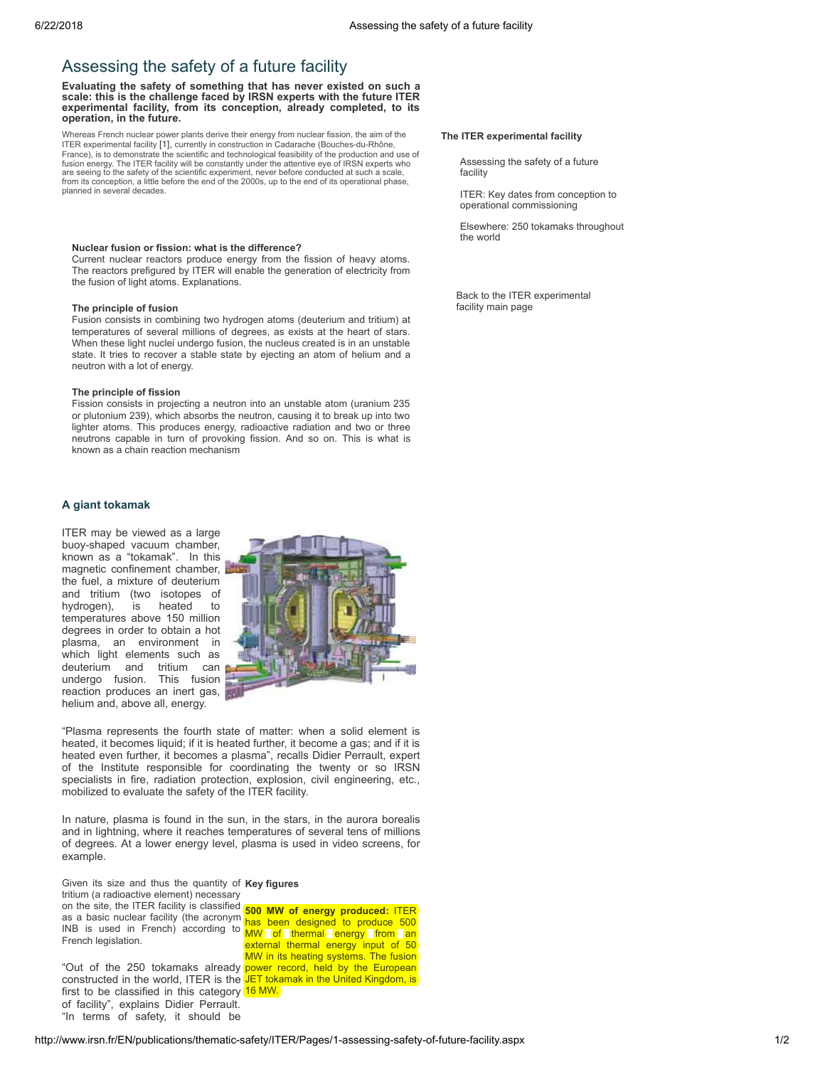# Assessing the safety of a future facility

Evaluating the safety of something that has never existed on such a scale: this is the challenge faced by IRSN experts with the future ITER experimental facility, from its conception, already completed, to its operation, in the future.

Whereas French nuclear power plants derive their energy from nuclear fission, the aim of the ITER experimental facility [\[1\],](#page-1-0) currently in construction in Cadarache (Bouches-du-Rhône, France), is to demonstrate the scientific and technological feasibility of the production and use of fusion energy. The ITER facility will be constantly under the attentive eye of IRSN experts who are seeing to the safety of the scientific experiment, never before conducted at such a scale, from its conception, a little before the end of the 2000s, up to the end of its operational phase, planned in several decades.

#### Nuclear fusion or fission: what is the difference?

Current nuclear reactors produce energy from the fission of heavy atoms. The reactors prefigured by ITER will enable the generation of electricity from the fusion of light atoms. Explanations.

## The principle of fusion

Fusion consists in combining two hydrogen atoms (deuterium and tritium) at temperatures of several millions of degrees, as exists at the heart of stars. When these light nuclei undergo fusion, the nucleus created is in an unstable state. It tries to recover a stable state by ejecting an atom of helium and a neutron with a lot of energy.

#### The principle of fission

Fission consists in projecting a neutron into an unstable atom (uranium 235 or plutonium 239), which absorbs the neutron, causing it to break up into two lighter atoms. This produces energy, radioactive radiation and two or three neutrons capable in turn of provoking fission. And so on. This is what is known as a chain reaction mechanism

## A giant tokamak

ITER may be viewed as a large buoy-shaped vacuum chamber, known as a "tokamak". In this magnetic confinement chamber, the fuel, a mixture of deuterium and tritium (two isotopes of<br>hydrogen), is heated to hydrogen), temperatures above 150 million degrees in order to obtain a hot plasma, an environment in which light elements such as deuterium and tritium can undergo fusion. This fusion reaction produces an inert gas, helium and, above all, energy.



"Plasma represents the fourth state of matter: when a solid element is heated, it becomes liquid; if it is heated further, it become a gas; and if it is heated even further, it becomes a plasma", recalls Didier Perrault, expert of the Institute responsible for coordinating the twenty or so IRSN specialists in fire, radiation protection, explosion, civil engineering, etc., mobilized to evaluate the safety of the ITER facility.

In nature, plasma is found in the sun, in the stars, in the aurora borealis and in lightning, where it reaches temperatures of several tens of millions of degrees. At a lower energy level, plasma is used in video screens, for example.

Given its size and thus the quantity of Key figures on the site, the ITER facility is classified **500 MW of energy produced: ITER** tritium (a radioactive element) necessary

INB is used in French) according to **MW** of thermal energy from an as a basic nuclear facility (the acronym has been designed to produce 500 French legislation.

constructed in the world, ITER is the **JET tokamak in the United Kingdom, is** first to be classified in this category (16 MW. of facility", explains Didier Perrault. "In terms of safety, it should be

has been designed to produce 500 external thermal energy input of 50 **MW** in its heating systems. The fusion "Out of the 250 tokamaks already power record, held by the European

## The ITER experimental facility

Assessing the safety of a future facility

ITER: Key dates from conception to operational [commissioning](http://www.irsn.fr/EN/publications/thematic-safety/ITER/Pages/2-key-dates.aspx)

[Elsewhere:](http://www.irsn.fr/EN/publications/thematic-safety/ITER/Pages/3-250-tokamaks-throughout-the-world.aspx) 250 tokamaks throughout the world

Back to the ITER [experimental](http://www.irsn.fr/EN/publications/thematic-safety/ITER/Pages/overview.aspx) facility main page